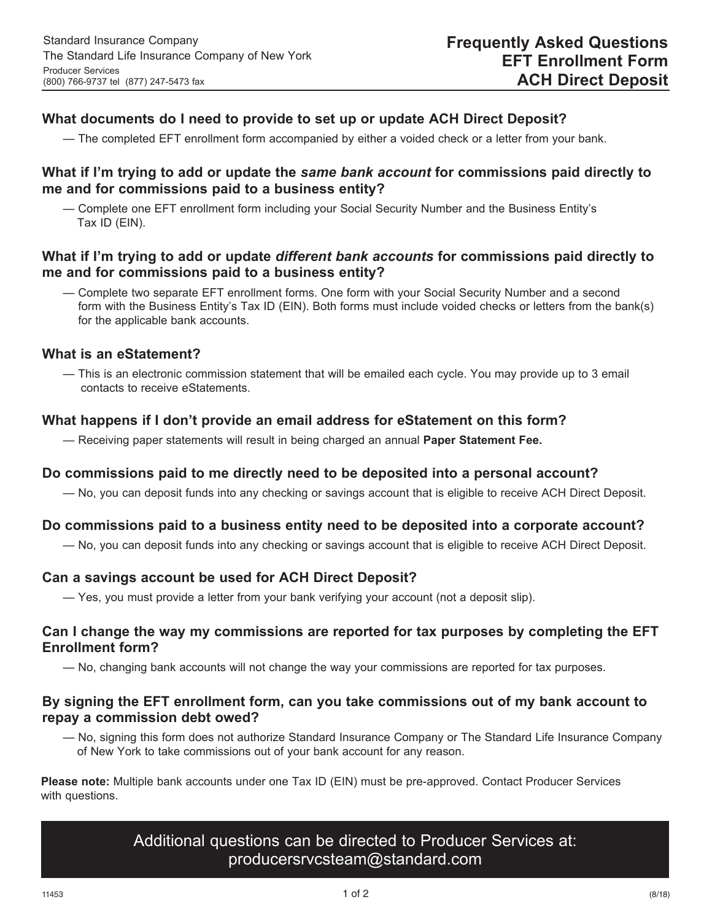# **What documents do I need to provide to set up or update ACH Direct Deposit?**

— The completed EFT enrollment form accompanied by either a voided check or a letter from your bank.

# **What if I'm trying to add or update the** *same bank account* **for commissions paid directly to me and for commissions paid to a business entity?**

— Complete one EFT enrollment form including your Social Security Number and the Business Entity's Tax ID (EIN).

# **What if I'm trying to add or update** *different bank accounts* **for commissions paid directly to me and for commissions paid to a business entity?**

— Complete two separate EFT enrollment forms. One form with your Social Security Number and a second form with the Business Entity's Tax ID (EIN). Both forms must include voided checks or letters from the bank(s) for the applicable bank accounts.

### **What is an eStatement?**

— This is an electronic commission statement that will be emailed each cycle. You may provide up to 3 email contacts to receive eStatements.

# **What happens if I don't provide an email address for eStatement on this form?**

— Receiving paper statements will result in being charged an annual **Paper Statement Fee.**

### **Do commissions paid to me directly need to be deposited into a personal account?**

— No, you can deposit funds into any checking or savings account that is eligible to receive ACH Direct Deposit.

### **Do commissions paid to a business entity need to be deposited into a corporate account?**

— No, you can deposit funds into any checking or savings account that is eligible to receive ACH Direct Deposit.

### **Can a savings account be used for ACH Direct Deposit?**

— Yes, you must provide a letter from your bank verifying your account (not a deposit slip).

### **Can I change the way my commissions are reported for tax purposes by completing the EFT Enrollment form?**

— No, changing bank accounts will not change the way your commissions are reported for tax purposes.

# **By signing the EFT enrollment form, can you take commissions out of my bank account to repay a commission debt owed?**

— No, signing this form does not authorize Standard Insurance Company or The Standard Life Insurance Company of New York to take commissions out of your bank account for any reason.

 **Please note:** Multiple bank accounts under one Tax ID (EIN) must be pre-approved. Contact Producer Services with questions.

# Additional questions can be directed to Producer Services at: producersrvcsteam@standard.com